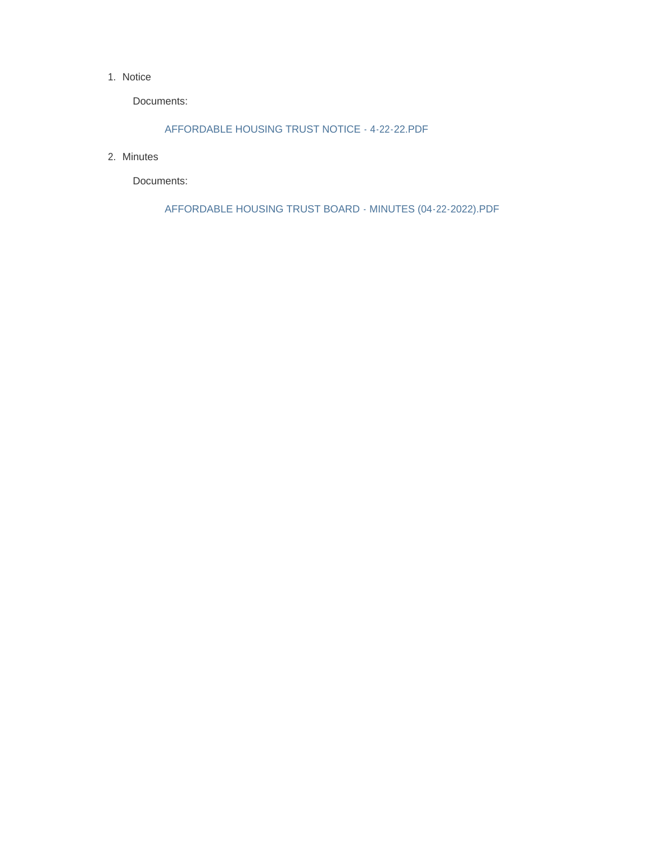#### 1. Notice

Documents:

AFFORDABLE HOUSING TRUST NOTICE - 4-22-22.PDF

2. Minutes

Documents:

AFFORDABLE HOUSING TRUST BOARD - MINUTES (04-22-2022).PDF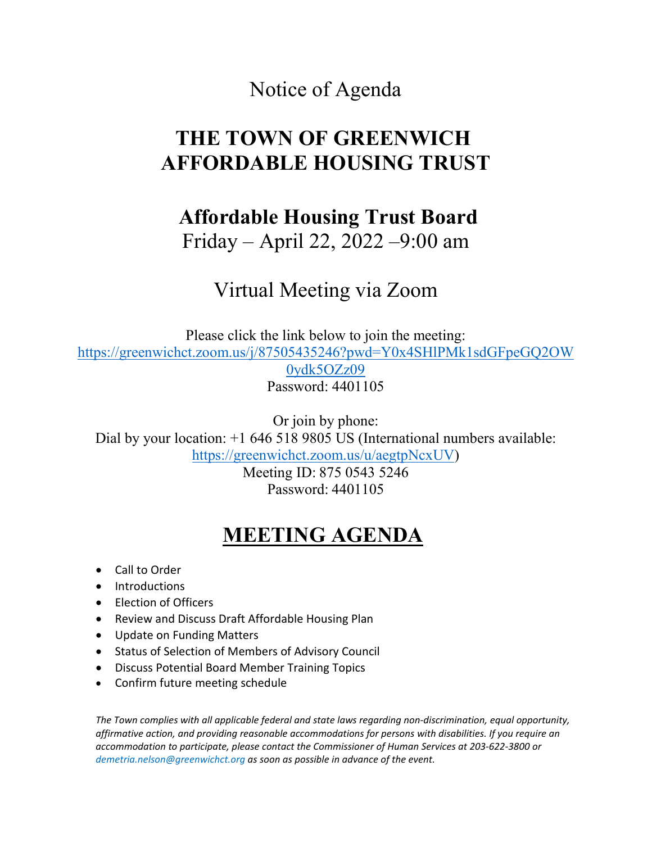Notice of Agenda

# **THE TOWN OF GREENWICH AFFORDABLE HOUSING TRUST**

### **Affordable Housing Trust Board**

Friday – April 22, 2022 –9:00 am

### Virtual Meeting via Zoom

Please click the link below to join the meeting: https://greenwichct.zoom.us/j/87505435246?pwd=Y0x4SHlPMk1sdGFpeGQ2OW 0ydk5OZz09 Password: 4401105

Or join by phone: Dial by your location: +1 646 518 9805 US (International numbers available: [https://greenwichct.zoom.us/u/aegtpNcxUV\)](https://greenwichct.zoom.us/u/aegtpNcxUV)

> Meeting ID: 875 0543 5246 Password: 4401105

## **MEETING AGENDA**

- Call to Order
- Introductions
- Election of Officers
- Review and Discuss Draft Affordable Housing Plan
- Update on Funding Matters
- Status of Selection of Members of Advisory Council
- Discuss Potential Board Member Training Topics
- Confirm future meeting schedule

*The Town complies with all applicable federal and state laws regarding non-discrimination, equal opportunity, affirmative action, and providing reasonable accommodations for persons with disabilities. If you require an accommodation to participate, please contact the Commissioner of Human Services at 203-622-3800 or demetria.nelson@greenwichct.org as soon as possible in advance of the event.*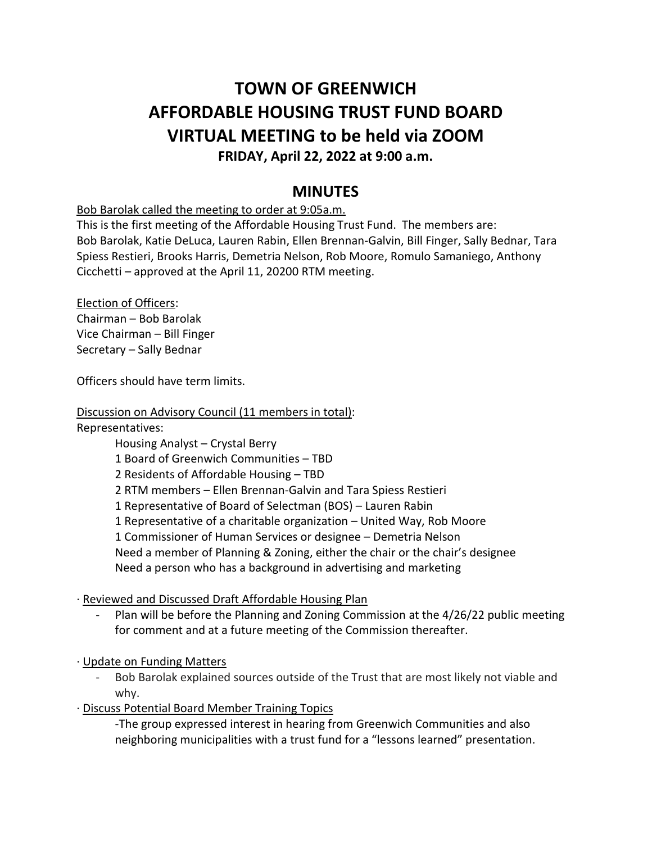### **TOWN OF GREENWICH AFFORDABLE HOUSING TRUST FUND BOARD VIRTUAL MEETING to be held via ZOOM FRIDAY, April 22, 2022 at 9:00 a.m.**

#### **MINUTES**

Bob Barolak called the meeting to order at 9:05a.m.

This is the first meeting of the Affordable Housing Trust Fund. The members are: Bob Barolak, Katie DeLuca, Lauren Rabin, Ellen Brennan-Galvin, Bill Finger, Sally Bednar, Tara Spiess Restieri, Brooks Harris, Demetria Nelson, Rob Moore, Romulo Samaniego, Anthony Cicchetti – approved at the April 11, 20200 RTM meeting.

Election of Officers: Chairman – Bob Barolak Vice Chairman – Bill Finger Secretary – Sally Bednar

Officers should have term limits.

#### Discussion on Advisory Council (11 members in total):

Representatives:

Housing Analyst – Crystal Berry

1 Board of Greenwich Communities – TBD

- 2 Residents of Affordable Housing TBD
- 2 RTM members Ellen Brennan-Galvin and Tara Spiess Restieri
- 1 Representative of Board of Selectman (BOS) Lauren Rabin
- 1 Representative of a charitable organization United Way, Rob Moore

1 Commissioner of Human Services or designee – Demetria Nelson

Need a member of Planning & Zoning, either the chair or the chair's designee

Need a person who has a background in advertising and marketing

#### · Reviewed and Discussed Draft Affordable Housing Plan

- Plan will be before the Planning and Zoning Commission at the 4/26/22 public meeting for comment and at a future meeting of the Commission thereafter.
- · Update on Funding Matters
	- Bob Barolak explained sources outside of the Trust that are most likely not viable and why.
- · Discuss Potential Board Member Training Topics

-The group expressed interest in hearing from Greenwich Communities and also neighboring municipalities with a trust fund for a "lessons learned" presentation.